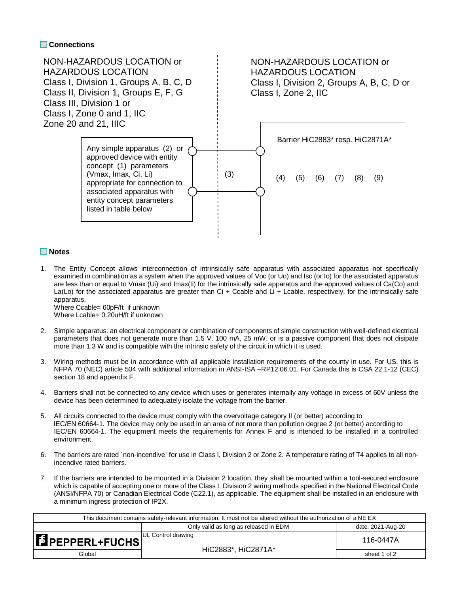## **Connections**



## **Notes**

1. The Entity Concept allows interconnection of intrinsically safe apparatus with associated apparatus not specifically examined in combination as a system when the approved values of Voc (or Uo) and Isc (or Io) for the associated apparatus are less than or equal to Vmax (Ui) and Imax(Ii) for the intrinsically safe apparatus and the approved values of Ca(Co) and La(Lo) for the associated apparatus are greater than Ci + Ccable and Li + Lcable, respectively, for the intrinsically safe apparatus, Where Ccable= 60pF/ft if unknown

Where Lcable= 0.20uH/ft if unknown

- 2. Simple apparatus: an electrical component or combination of components of simple construction with well-defined electrical parameters that does not generate more than 1.5 V, 100 mA, 25 mW, or is a passive component that does not disipate more than 1.3 W and is compatible with the intrinsic safety of the circuit in which it is used.
- 3. Wiring methods must be in accordance with all applicable installation requirements of the county in use. For US, this is NFPA 70 (NEC) article 504 with additional information in ANSI-ISA –RP12.06.01. For Canada this is CSA 22.1-12 (CEC) section 18 and appendix F.
- 4. Barriers shall not be connected to any device which uses or generates internally any voltage in excess of 60V unless the device has been determined to adequately isolate the voltage from the barrier.
- 5. All circuits connected to the device must comply with the overvoltage category II (or better) according to IEC/EN 60664-1. The device may only be used in an area of not more than pollution degree 2 (or better) according to IEC/EN 60664-1. The equipment meets the requirements for Annex F and is intended to be installed in a controlled environment.
- 6. The barriers are rated `non-incendive` for use in Class I, Division 2 or Zone 2. A temperature rating of T4 applies to all nonincendive rated barriers.
- 7. If the barriers are intended to be mounted in a Division 2 location, they shall be mounted within a tool-secured enclosure which is capable of accepting one or more of the Class I, Division 2 wiring methods specified in the National Electrical Code (ANSI/NFPA 70) or Canadian Electrical Code (C22.1), as applicable. The equipment shall be installed in an enclosure with a minimum ingress protection of IP2X.

| This document contains safety-relevant information. It must not be altered without the authorization of a NE EX |                                       |                   |  |  |  |  |
|-----------------------------------------------------------------------------------------------------------------|---------------------------------------|-------------------|--|--|--|--|
|                                                                                                                 | Only valid as long as released in EDM | date: 2021-Aug-20 |  |  |  |  |
| <b>E</b> PEPPERL+FUCHS                                                                                          | UL Control drawing                    | 116-0447A         |  |  |  |  |
| Global                                                                                                          | HiC2883*, HiC2871A*                   | sheet 1 of 2      |  |  |  |  |